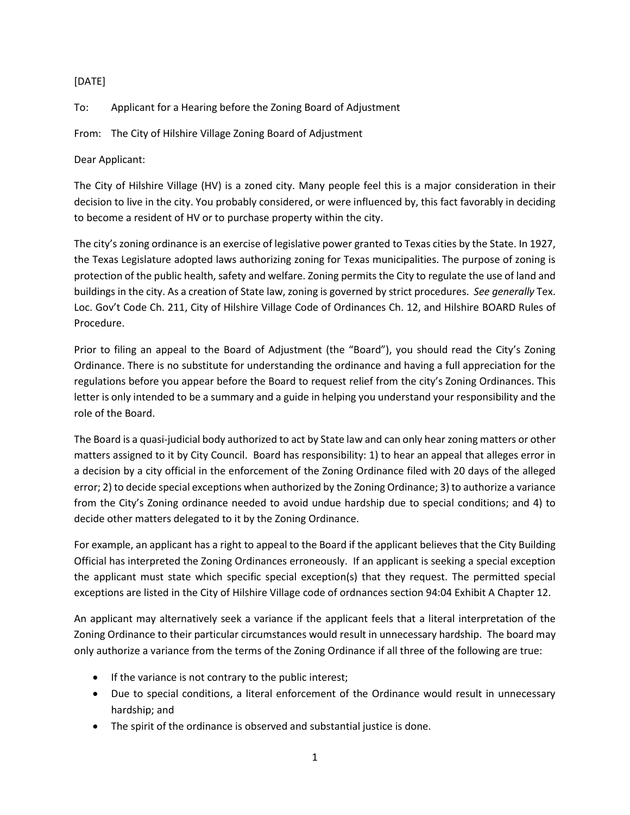## [DATE]

To: Applicant for a Hearing before the Zoning Board of Adjustment

From: The City of Hilshire Village Zoning Board of Adjustment

Dear Applicant:

The City of Hilshire Village (HV) is a zoned city. Many people feel this is a major consideration in their decision to live in the city. You probably considered, or were influenced by, this fact favorably in deciding to become a resident of HV or to purchase property within the city.

The city's zoning ordinance is an exercise of legislative power granted to Texas cities by the State. In 1927, the Texas Legislature adopted laws authorizing zoning for Texas municipalities. The purpose of zoning is protection of the public health, safety and welfare. Zoning permits the City to regulate the use of land and buildings in the city. As a creation of State law, zoning is governed by strict procedures. *See generally* Tex. Loc. Gov't Code Ch. 211, City of Hilshire Village Code of Ordinances Ch. 12, and Hilshire BOARD Rules of Procedure.

Prior to filing an appeal to the Board of Adjustment (the "Board"), you should read the City's Zoning Ordinance. There is no substitute for understanding the ordinance and having a full appreciation for the regulations before you appear before the Board to request relief from the city's Zoning Ordinances. This letter is only intended to be a summary and a guide in helping you understand your responsibility and the role of the Board.

The Board is a quasi-judicial body authorized to act by State law and can only hear zoning matters or other matters assigned to it by City Council. Board has responsibility: 1) to hear an appeal that alleges error in a decision by a city official in the enforcement of the Zoning Ordinance filed with 20 days of the alleged error; 2) to decide special exceptions when authorized by the Zoning Ordinance; 3) to authorize a variance from the City's Zoning ordinance needed to avoid undue hardship due to special conditions; and 4) to decide other matters delegated to it by the Zoning Ordinance.

For example, an applicant has a right to appeal to the Board if the applicant believes that the City Building Official has interpreted the Zoning Ordinances erroneously. If an applicant is seeking a special exception the applicant must state which specific special exception(s) that they request. The permitted special exceptions are listed in the City of Hilshire Village code of ordnances section 94:04 Exhibit A Chapter 12.

An applicant may alternatively seek a variance if the applicant feels that a literal interpretation of the Zoning Ordinance to their particular circumstances would result in unnecessary hardship. The board may only authorize a variance from the terms of the Zoning Ordinance if all three of the following are true:

- If the variance is not contrary to the public interest;
- Due to special conditions, a literal enforcement of the Ordinance would result in unnecessary hardship; and
- The spirit of the ordinance is observed and substantial justice is done.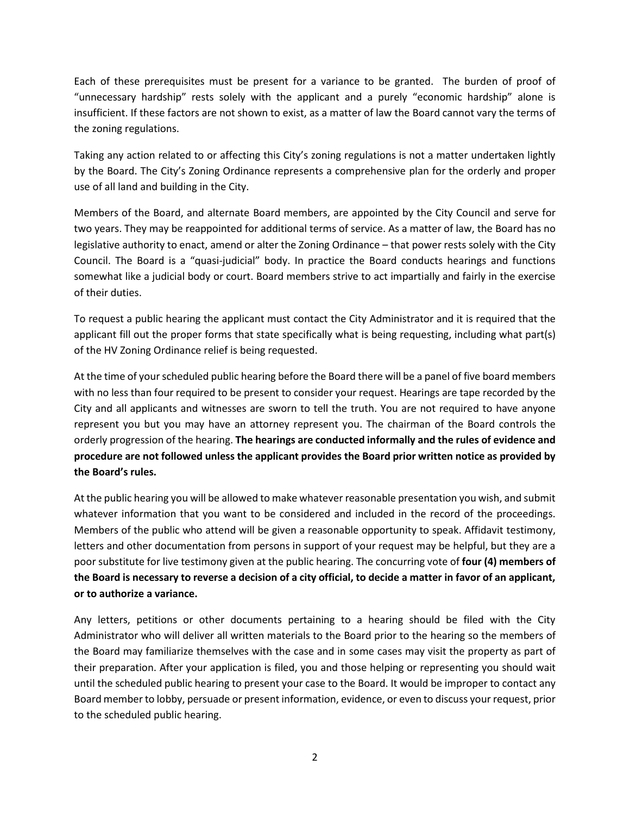Each of these prerequisites must be present for a variance to be granted. The burden of proof of "unnecessary hardship" rests solely with the applicant and a purely "economic hardship" alone is insufficient. If these factors are not shown to exist, as a matter of law the Board cannot vary the terms of the zoning regulations.

Taking any action related to or affecting this City's zoning regulations is not a matter undertaken lightly by the Board. The City's Zoning Ordinance represents a comprehensive plan for the orderly and proper use of all land and building in the City.

Members of the Board, and alternate Board members, are appointed by the City Council and serve for two years. They may be reappointed for additional terms of service. As a matter of law, the Board has no legislative authority to enact, amend or alter the Zoning Ordinance – that power rests solely with the City Council. The Board is a "quasi-judicial" body. In practice the Board conducts hearings and functions somewhat like a judicial body or court. Board members strive to act impartially and fairly in the exercise of their duties.

To request a public hearing the applicant must contact the City Administrator and it is required that the applicant fill out the proper forms that state specifically what is being requesting, including what part(s) of the HV Zoning Ordinance relief is being requested.

At the time of your scheduled public hearing before the Board there will be a panel of five board members with no less than four required to be present to consider your request. Hearings are tape recorded by the City and all applicants and witnesses are sworn to tell the truth. You are not required to have anyone represent you but you may have an attorney represent you. The chairman of the Board controls the orderly progression of the hearing. **The hearings are conducted informally and the rules of evidence and procedure are not followed unless the applicant provides the Board prior written notice as provided by the Board's rules.**

At the public hearing you will be allowed to make whatever reasonable presentation you wish, and submit whatever information that you want to be considered and included in the record of the proceedings. Members of the public who attend will be given a reasonable opportunity to speak. Affidavit testimony, letters and other documentation from persons in support of your request may be helpful, but they are a poor substitute for live testimony given at the public hearing. The concurring vote of **four (4) members of the Board is necessary to reverse a decision of a city official, to decide a matter in favor of an applicant, or to authorize a variance.**

Any letters, petitions or other documents pertaining to a hearing should be filed with the City Administrator who will deliver all written materials to the Board prior to the hearing so the members of the Board may familiarize themselves with the case and in some cases may visit the property as part of their preparation. After your application is filed, you and those helping or representing you should wait until the scheduled public hearing to present your case to the Board. It would be improper to contact any Board member to lobby, persuade or present information, evidence, or even to discuss your request, prior to the scheduled public hearing.